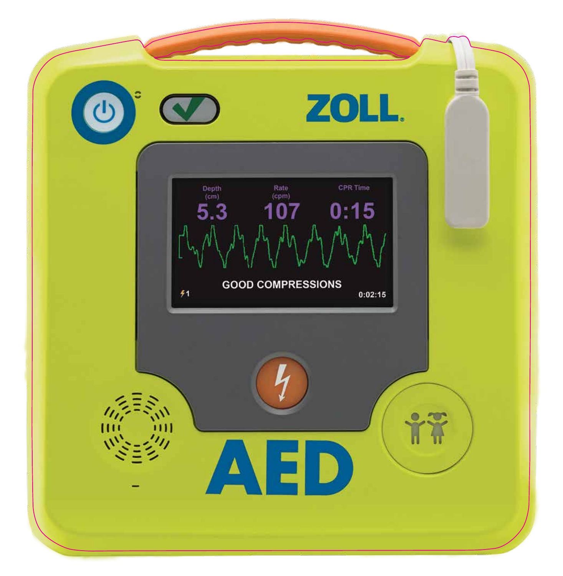